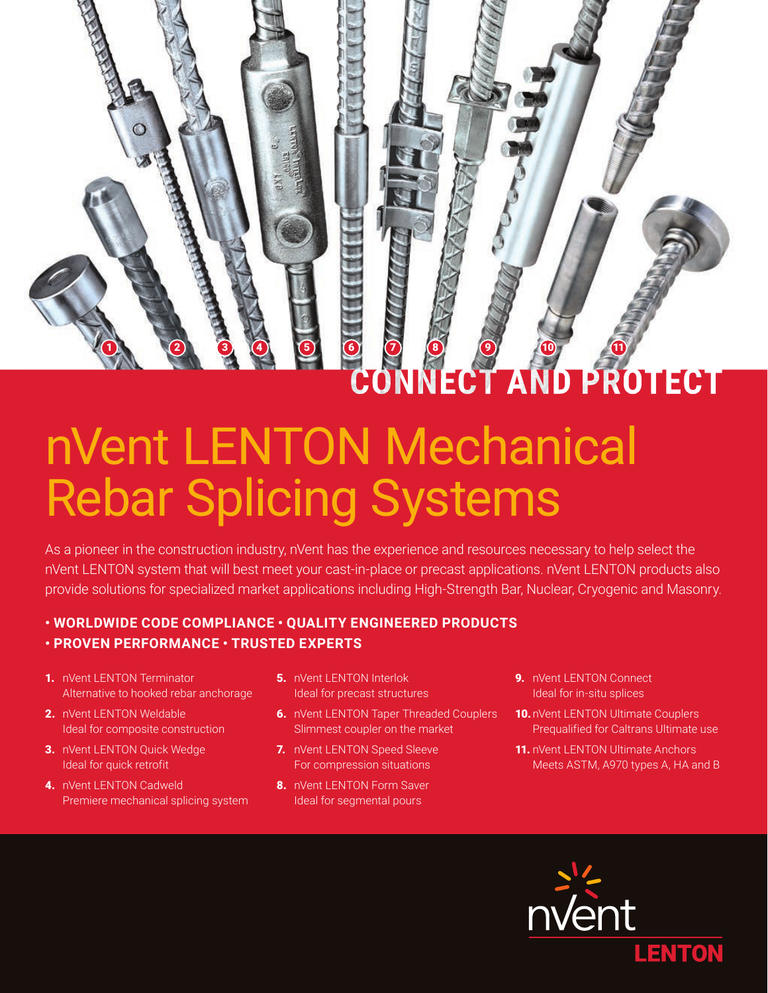# ECT AND PROTECT

## nVent LENTON Mechanical Rebar Splicing Systems

As a pioneer in the construction industry, nVent has the experience and resources necessary to help select the nVent LENTON system that will best meet your cast-in-place or precast applications. nVent LENTON products also provide solutions for specialized market applications including High-Strength Bar, Nuclear, Cryogenic and Masonry.

#### **• WORLDWIDE CODE COMPLIANCE • QUALITY ENGINEERED PRODUCTS • PROVEN PERFORMANCE • TRUSTED EXPERTS**

- 1. nVent LENTON Terminator Alternative to hooked rebar anchorage
- 2. nVent LENTON Weldable Ideal for composite construction
- 3. nVent LENTON Quick Wedge Ideal for quick retrofit
- 4. nVent LENTON Cadweld Premiere mechanical splicing system
- **5.** nVent LENTON Interlok Ideal for precast structures
- **6.** nVent LENTON Taper Threaded Couplers Slimmest coupler on the market
- 7. nVent LENTON Speed Sleeve For compression situations
- 8. nVent LENTON Form Saver Ideal for segmental pours
- 9. nVent LENTON Connect Ideal for in-situ splices
- 10. nVent LENTON Ultimate Couplers Prequalified for Caltrans Ultimate use
- 11. nVent LENTON Ultimate Anchors Meets ASTM, A970 types A, HA and B